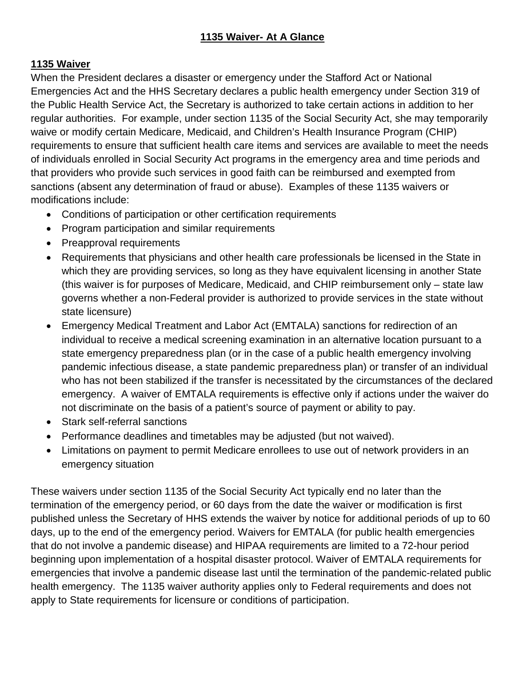## **1135 Waiver**

When the President declares a disaster or emergency under the Stafford Act or National Emergencies Act and the HHS Secretary declares a public health emergency under Section 319 of the Public Health Service Act, the Secretary is authorized to take certain actions in addition to her regular authorities. For example, under section 1135 of the Social Security Act, she may temporarily waive or modify certain Medicare, Medicaid, and Children's Health Insurance Program (CHIP) requirements to ensure that sufficient health care items and services are available to meet the needs of individuals enrolled in Social Security Act programs in the emergency area and time periods and that providers who provide such services in good faith can be reimbursed and exempted from sanctions (absent any determination of fraud or abuse). Examples of these 1135 waivers or modifications include:

- Conditions of participation or other certification requirements
- Program participation and similar requirements
- Preapproval requirements
- Requirements that physicians and other health care professionals be licensed in the State in which they are providing services, so long as they have equivalent licensing in another State (this waiver is for purposes of Medicare, Medicaid, and CHIP reimbursement only – state law governs whether a non-Federal provider is authorized to provide services in the state without state licensure)
- Emergency Medical Treatment and Labor Act (EMTALA) sanctions for redirection of an individual to receive a medical screening examination in an alternative location pursuant to a state emergency preparedness plan (or in the case of a public health emergency involving pandemic infectious disease, a state pandemic preparedness plan) or transfer of an individual who has not been stabilized if the transfer is necessitated by the circumstances of the declared emergency. A waiver of EMTALA requirements is effective only if actions under the waiver do not discriminate on the basis of a patient's source of payment or ability to pay.
- Stark self-referral sanctions
- Performance deadlines and timetables may be adjusted (but not waived).
- Limitations on payment to permit Medicare enrollees to use out of network providers in an emergency situation

These waivers under section 1135 of the Social Security Act typically end no later than the termination of the emergency period, or 60 days from the date the waiver or modification is first published unless the Secretary of HHS extends the waiver by notice for additional periods of up to 60 days, up to the end of the emergency period. Waivers for EMTALA (for public health emergencies that do not involve a pandemic disease) and HIPAA requirements are limited to a 72-hour period beginning upon implementation of a hospital disaster protocol. Waiver of EMTALA requirements for emergencies that involve a pandemic disease last until the termination of the pandemic-related public health emergency. The 1135 waiver authority applies only to Federal requirements and does not apply to State requirements for licensure or conditions of participation.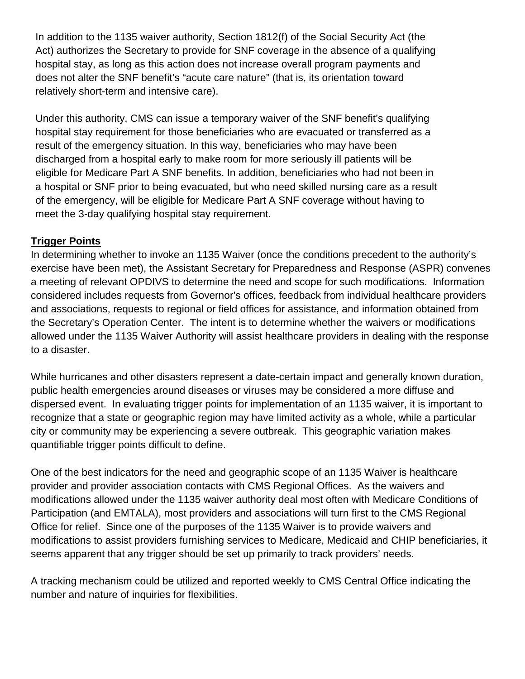In addition to the 1135 waiver authority, Section 1812(f) of the Social Security Act (the Act) authorizes the Secretary to provide for SNF coverage in the absence of a qualifying hospital stay, as long as this action does not increase overall program payments and does not alter the SNF benefit's "acute care nature" (that is, its orientation toward relatively short-term and intensive care).

Under this authority, CMS can issue a temporary waiver of the SNF benefit's qualifying hospital stay requirement for those beneficiaries who are evacuated or transferred as a result of the emergency situation. In this way, beneficiaries who may have been discharged from a hospital early to make room for more seriously ill patients will be eligible for Medicare Part A SNF benefits. In addition, beneficiaries who had not been in a hospital or SNF prior to being evacuated, but who need skilled nursing care as a result of the emergency, will be eligible for Medicare Part A SNF coverage without having to meet the 3-day qualifying hospital stay requirement.

## **Trigger Points**

In determining whether to invoke an 1135 Waiver (once the conditions precedent to the authority's exercise have been met), the Assistant Secretary for Preparedness and Response (ASPR) convenes a meeting of relevant OPDIVS to determine the need and scope for such modifications. Information considered includes requests from Governor's offices, feedback from individual healthcare providers and associations, requests to regional or field offices for assistance, and information obtained from the Secretary's Operation Center. The intent is to determine whether the waivers or modifications allowed under the 1135 Waiver Authority will assist healthcare providers in dealing with the response to a disaster.

While hurricanes and other disasters represent a date-certain impact and generally known duration, public health emergencies around diseases or viruses may be considered a more diffuse and dispersed event. In evaluating trigger points for implementation of an 1135 waiver, it is important to recognize that a state or geographic region may have limited activity as a whole, while a particular city or community may be experiencing a severe outbreak. This geographic variation makes quantifiable trigger points difficult to define.

One of the best indicators for the need and geographic scope of an 1135 Waiver is healthcare provider and provider association contacts with CMS Regional Offices. As the waivers and modifications allowed under the 1135 waiver authority deal most often with Medicare Conditions of Participation (and EMTALA), most providers and associations will turn first to the CMS Regional Office for relief. Since one of the purposes of the 1135 Waiver is to provide waivers and modifications to assist providers furnishing services to Medicare, Medicaid and CHIP beneficiaries, it seems apparent that any trigger should be set up primarily to track providers' needs.

A tracking mechanism could be utilized and reported weekly to CMS Central Office indicating the number and nature of inquiries for flexibilities.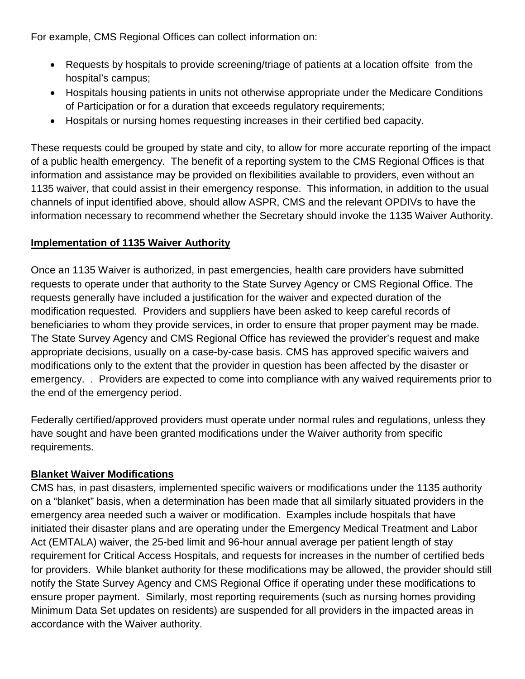For example, CMS Regional Offices can collect information on:

- Requests by hospitals to provide screening/triage of patients at a location offsite from the hospital's campus;
- Hospitals housing patients in units not otherwise appropriate under the Medicare Conditions of Participation or for a duration that exceeds regulatory requirements;
- Hospitals or nursing homes requesting increases in their certified bed capacity.

These requests could be grouped by state and city, to allow for more accurate reporting of the impact of a public health emergency. The benefit of a reporting system to the CMS Regional Offices is that information and assistance may be provided on flexibilities available to providers, even without an 1135 waiver, that could assist in their emergency response. This information, in addition to the usual channels of input identified above, should allow ASPR, CMS and the relevant OPDIVs to have the information necessary to recommend whether the Secretary should invoke the 1135 Waiver Authority.

## **Implementation of 1135 Waiver Authority**

Once an 1135 Waiver is authorized, in past emergencies, health care providers have submitted requests to operate under that authority to the State Survey Agency or CMS Regional Office. The requests generally have included a justification for the waiver and expected duration of the modification requested. Providers and suppliers have been asked to keep careful records of beneficiaries to whom they provide services, in order to ensure that proper payment may be made. The State Survey Agency and CMS Regional Office has reviewed the provider's request and make appropriate decisions, usually on a case-by-case basis. CMS has approved specific waivers and modifications only to the extent that the provider in question has been affected by the disaster or emergency. . Providers are expected to come into compliance with any waived requirements prior to the end of the emergency period.

Federally certified/approved providers must operate under normal rules and regulations, unless they have sought and have been granted modifications under the Waiver authority from specific requirements.

## **Blanket Waiver Modifications**

CMS has, in past disasters, implemented specific waivers or modifications under the 1135 authority on a "blanket" basis, when a determination has been made that all similarly situated providers in the emergency area needed such a waiver or modification. Examples include hospitals that have initiated their disaster plans and are operating under the Emergency Medical Treatment and Labor Act (EMTALA) waiver, the 25-bed limit and 96-hour annual average per patient length of stay requirement for Critical Access Hospitals, and requests for increases in the number of certified beds for providers. While blanket authority for these modifications may be allowed, the provider should still notify the State Survey Agency and CMS Regional Office if operating under these modifications to ensure proper payment. Similarly, most reporting requirements (such as nursing homes providing Minimum Data Set updates on residents) are suspended for all providers in the impacted areas in accordance with the Waiver authority.